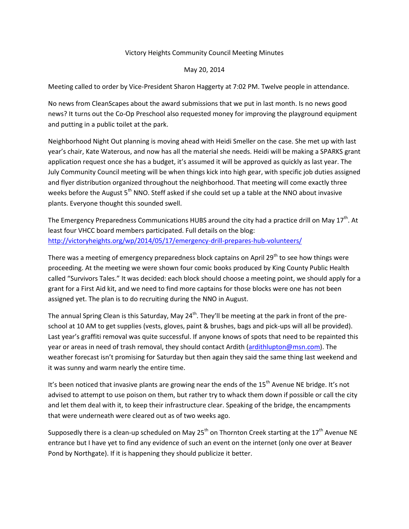## Victory Heights Community Council Meeting Minutes

## May 20, 2014

Meeting called to order by Vice-President Sharon Haggerty at 7:02 PM. Twelve people in attendance.

No news from CleanScapes about the award submissions that we put in last month. Is no news good news? It turns out the Co-Op Preschool also requested money for improving the playground equipment and putting in a public toilet at the park.

Neighborhood Night Out planning is moving ahead with Heidi Smeller on the case. She met up with last year's chair, Kate Waterous, and now has all the material she needs. Heidi will be making a SPARKS grant application request once she has a budget, it's assumed it will be approved as quickly as last year. The July Community Council meeting will be when things kick into high gear, with specific job duties assigned and flyer distribution organized throughout the neighborhood. That meeting will come exactly three weeks before the August  $5<sup>th</sup>$  NNO. Steff asked if she could set up a table at the NNO about invasive plants. Everyone thought this sounded swell.

The Emergency Preparedness Communications HUBS around the city had a practice drill on May  $17<sup>th</sup>$ . At least four VHCC board members participated. Full details on the blog: <http://victoryheights.org/wp/2014/05/17/emergency-drill-prepares-hub-volunteers/>

There was a meeting of emergency preparedness block captains on April 29<sup>th</sup> to see how things were proceeding. At the meeting we were shown four comic books produced by King County Public Health called "Survivors Tales." It was decided: each block should choose a meeting point, we should apply for a grant for a First Aid kit, and we need to find more captains for those blocks were one has not been assigned yet. The plan is to do recruiting during the NNO in August.

The annual Spring Clean is this Saturday, May 24<sup>th</sup>. They'll be meeting at the park in front of the preschool at 10 AM to get supplies (vests, gloves, paint & brushes, bags and pick-ups will all be provided). Last year's graffiti removal was quite successful. If anyone knows of spots that need to be repainted this year or areas in need of trash removal, they should contact Ardith [\(ardithlupton@msn.com\)](mailto:ardithlupton@msn.com). The weather forecast isn't promising for Saturday but then again they said the same thing last weekend and it was sunny and warm nearly the entire time.

It's been noticed that invasive plants are growing near the ends of the  $15<sup>th</sup>$  Avenue NE bridge. It's not advised to attempt to use poison on them, but rather try to whack them down if possible or call the city and let them deal with it, to keep their infrastructure clear. Speaking of the bridge, the encampments that were underneath were cleared out as of two weeks ago.

Supposedly there is a clean-up scheduled on May 25<sup>th</sup> on Thornton Creek starting at the 17<sup>th</sup> Avenue NE entrance but I have yet to find any evidence of such an event on the internet (only one over at Beaver Pond by Northgate). If it is happening they should publicize it better.